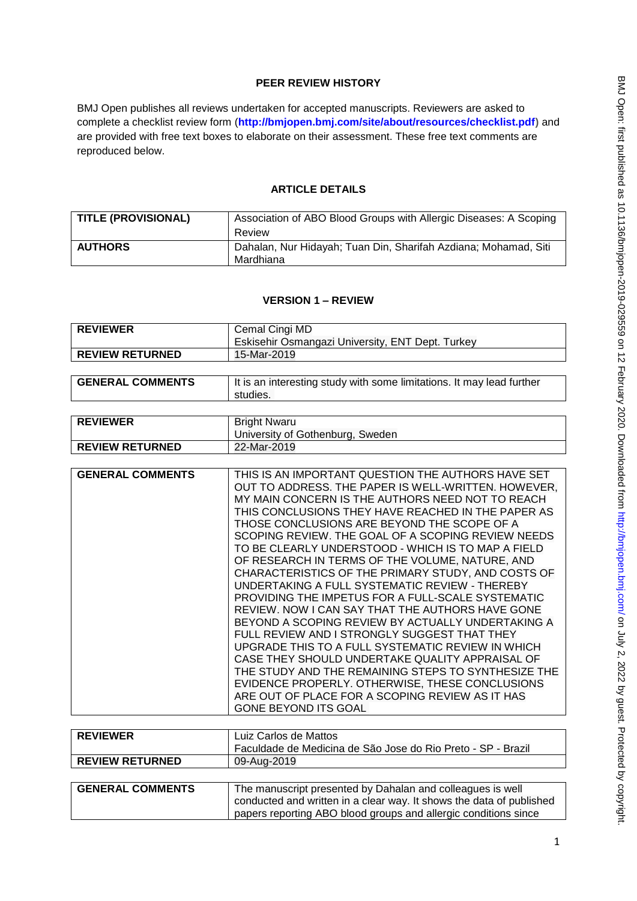## **PEER REVIEW HISTORY**

BMJ Open publishes all reviews undertaken for accepted manuscripts. Reviewers are asked to complete a checklist review form (**[http://bmjopen.bmj.com/site/about/resources/checklist.pdf\)](http://bmjopen.bmj.com/site/about/resources/checklist.pdf)** and are provided with free text boxes to elaborate on their assessment. These free text comments are reproduced below.

## **ARTICLE DETAILS**

| <b>TITLE (PROVISIONAL)</b> | Association of ABO Blood Groups with Allergic Diseases: A Scoping |
|----------------------------|-------------------------------------------------------------------|
|                            | Review                                                            |
| <b>AUTHORS</b>             | Dahalan, Nur Hidayah; Tuan Din, Sharifah Azdiana; Mohamad, Siti   |
|                            | Mardhiana                                                         |

## **VERSION 1 – REVIEW**

| <b>REVIEWER</b>        | Cemal Cingi MD                                   |
|------------------------|--------------------------------------------------|
|                        | Eskisehir Osmangazi University, ENT Dept. Turkey |
| <b>REVIEW RETURNED</b> | 15-Mar-2019                                      |
|                        |                                                  |

| <b>GENERAL COMMENTS</b> | It is an interesting study with some limitations. It may lead further |
|-------------------------|-----------------------------------------------------------------------|
|                         | studies.                                                              |
|                         |                                                                       |

| <b>REVIEWER</b>        | <b>Bright Nwaru</b><br><b>University of Gothenburg, Sweden</b> |
|------------------------|----------------------------------------------------------------|
| <b>REVIEW RETURNED</b> | 22-Mar-2019                                                    |

| <b>GENERAL COMMENTS</b> | THIS IS AN IMPORTANT QUESTION THE AUTHORS HAVE SET  |
|-------------------------|-----------------------------------------------------|
|                         | OUT TO ADDRESS. THE PAPER IS WELL-WRITTEN. HOWEVER, |
|                         | MY MAIN CONCERN IS THE AUTHORS NEED NOT TO REACH    |
|                         | THIS CONCLUSIONS THEY HAVE REACHED IN THE PAPER AS  |
|                         | THOSE CONCLUSIONS ARE BEYOND THE SCOPE OF A         |
|                         | SCOPING REVIEW. THE GOAL OF A SCOPING REVIEW NEEDS  |
|                         | TO BE CLEARLY UNDERSTOOD - WHICH IS TO MAP A FIELD  |
|                         | OF RESEARCH IN TERMS OF THE VOLUME, NATURE, AND     |
|                         | CHARACTERISTICS OF THE PRIMARY STUDY, AND COSTS OF  |
|                         | UNDERTAKING A FULL SYSTEMATIC REVIEW - THEREBY      |
|                         | PROVIDING THE IMPETUS FOR A FULL-SCALE SYSTEMATIC   |
|                         | REVIEW. NOW I CAN SAY THAT THE AUTHORS HAVE GONE    |
|                         | BEYOND A SCOPING REVIEW BY ACTUALLY UNDERTAKING A   |
|                         | FULL REVIEW AND I STRONGLY SUGGEST THAT THEY        |
|                         | UPGRADE THIS TO A FULL SYSTEMATIC REVIEW IN WHICH   |
|                         | CASE THEY SHOULD UNDERTAKE QUALITY APPRAISAL OF     |
|                         | THE STUDY AND THE REMAINING STEPS TO SYNTHESIZE THE |
|                         | EVIDENCE PROPERLY. OTHERWISE, THESE CONCLUSIONS     |
|                         | ARE OUT OF PLACE FOR A SCOPING REVIEW AS IT HAS     |
|                         | <b>GONE BEYOND ITS GOAL</b>                         |

| <b>REVIEWER</b>         | Luiz Carlos de Mattos                                                                                                              |
|-------------------------|------------------------------------------------------------------------------------------------------------------------------------|
|                         | Faculdade de Medicina de São Jose do Rio Preto - SP - Brazil                                                                       |
| <b>REVIEW RETURNED</b>  | 09-Aug-2019                                                                                                                        |
|                         |                                                                                                                                    |
| <b>GENERAL COMMENTS</b> | The manuscript presented by Dahalan and colleagues is well<br>conducted and written in a clear way. It shows the data of published |
|                         | papers reporting ABO blood groups and allergic conditions since                                                                    |